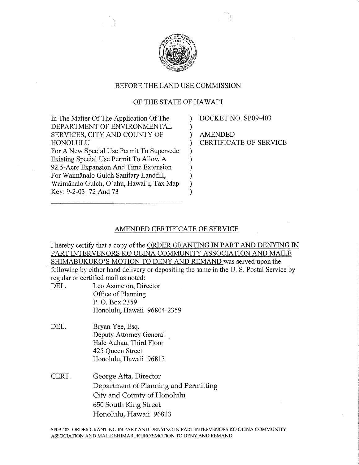

## BEFORE THE LAND USE COMMISSION

## OF THE STATE OF HAWAI'I

| In The Matter Of The Application Of The   |               |
|-------------------------------------------|---------------|
| DEPARTMENT OF ENVIRONMENTAL               |               |
| SERVICES, CITY AND COUNTY OF              |               |
| HONOLULU                                  | $\mathcal{E}$ |
| For A New Special Use Permit To Supersede |               |
| Existing Special Use Permit To Allow A    |               |
| 92.5-Acre Expansion And Time Extension    |               |
| For Waimānalo Gulch Sanitary Landfill,    |               |
| Waimānalo Gulch, O'ahu, Hawai'i, Tax Map  |               |
| Key: 9-2-03: 72 And 73                    |               |

DOCKET NO. SP09-403

AMENDED CERTIFICATE OF SERVICE

## AMENDED CERTIFICATE OF SERVICE

I hereby certify that a copy of the ORDER GRANTING IN PART AND DENYING IN PART INTERVENORS KO OLINA COMMUNITY ASSOCIATION AND MAILE SHIMABUKURO'S MOTION TO DENY AND REMAND was served upon the following by either hand delivery or depositing the same in the U. S. Postal Service by regular or certified mail as noted:

- DEL. Leo Asuncion, Director Office of Planning P. O. Box 2359 Honolulu, Hawaii 96804-2359
- DEL. Bryan Yee, Esq. Deputy Attorney General Hale Auhau, Third Floor 425 Queen Street Honolulu, Hawaii 96813
- CERT. George Atta, Director Department of Planning and Permitting City and County of Honolulu 650 South King Street Honolulu, Hawaii 96813